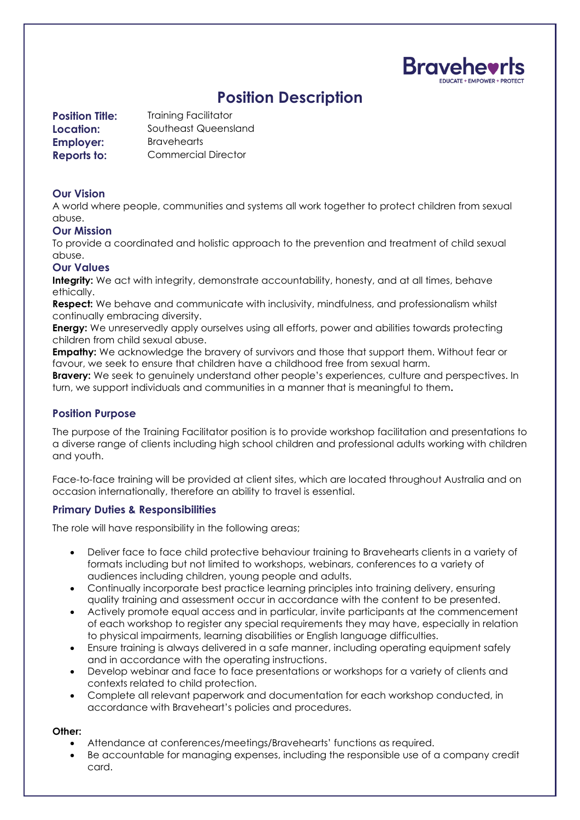

# **Position Description**

**Position Title:** Training Facilitator **Location:** Southeast Queensland **Employer:** Bravehearts **Reports to:** Commercial Director

## **Our Vision**

A world where people, communities and systems all work together to protect children from sexual abuse.

# **Our Mission**

To provide a coordinated and holistic approach to the prevention and treatment of child sexual abuse.

## **Our Values**

Integrity: We act with integrity, demonstrate accountability, honesty, and at all times, behave ethically.

**Respect:** We behave and communicate with inclusivity, mindfulness, and professionalism whilst continually embracing diversity.

**Energy:** We unreservedly apply ourselves using all efforts, power and abilities towards protecting children from child sexual abuse.

**Empathy:** We acknowledge the bravery of survivors and those that support them. Without fear or favour, we seek to ensure that children have a childhood free from sexual harm.

**Bravery:** We seek to genuinely understand other people's experiences, culture and perspectives. In turn, we support individuals and communities in a manner that is meaningful to them**.** 

# **Position Purpose**

The purpose of the Training Facilitator position is to provide workshop facilitation and presentations to a diverse range of clients including high school children and professional adults working with children and youth.

Face-to-face training will be provided at client sites, which are located throughout Australia and on occasion internationally, therefore an ability to travel is essential.

## **Primary Duties & Responsibilities**

The role will have responsibility in the following areas;

- Deliver face to face child protective behaviour training to Bravehearts clients in a variety of formats including but not limited to workshops, webinars, conferences to a variety of audiences including children, young people and adults.
- Continually incorporate best practice learning principles into training delivery, ensuring quality training and assessment occur in accordance with the content to be presented.
- Actively promote equal access and in particular, invite participants at the commencement of each workshop to register any special requirements they may have, especially in relation to physical impairments, learning disabilities or English language difficulties.
- Ensure training is always delivered in a safe manner, including operating equipment safely and in accordance with the operating instructions.
- Develop webinar and face to face presentations or workshops for a variety of clients and contexts related to child protection.
- Complete all relevant paperwork and documentation for each workshop conducted, in accordance with Braveheart's policies and procedures.

## **Other:**

- Attendance at conferences/meetings/Bravehearts' functions as required.
- Be accountable for managing expenses, including the responsible use of a company credit card.